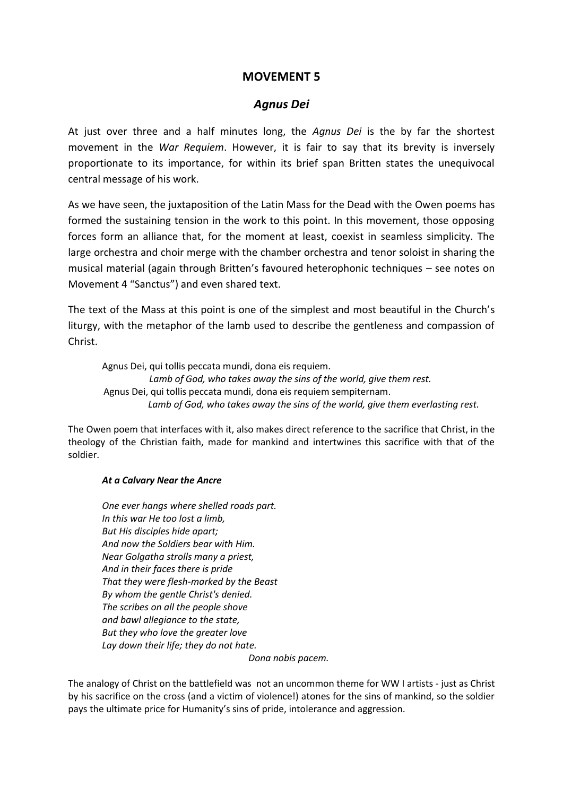## **MOVEMENT 5**

## *Agnus Dei*

At just over three and a half minutes long, the *Agnus Dei* is the by far the shortest movement in the *War Requiem*. However, it is fair to say that its brevity is inversely proportionate to its importance, for within its brief span Britten states the unequivocal central message of his work.

As we have seen, the juxtaposition of the Latin Mass for the Dead with the Owen poems has formed the sustaining tension in the work to this point. In this movement, those opposing forces form an alliance that, for the moment at least, coexist in seamless simplicity. The large orchestra and choir merge with the chamber orchestra and tenor soloist in sharing the musical material (again through Britten's favoured heterophonic techniques – see notes on Movement 4 "Sanctus") and even shared text.

The text of the Mass at this point is one of the simplest and most beautiful in the Church's liturgy, with the metaphor of the lamb used to describe the gentleness and compassion of Christ.

Agnus Dei, qui tollis peccata mundi, dona eis requiem.  *Lamb of God, who takes away the sins of the world, give them rest.* Agnus Dei, qui tollis peccata mundi, dona eis requiem sempiternam.  *Lamb of God, who takes away the sins of the world, give them everlasting rest.*

The Owen poem that interfaces with it, also makes direct reference to the sacrifice that Christ, in the theology of the Christian faith, made for mankind and intertwines this sacrifice with that of the soldier.

## *At a Calvary Near the Ancre*

*One ever hangs where shelled roads part. In this war He too lost a limb, But His disciples hide apart; And now the Soldiers bear with Him. Near Golgatha strolls many a priest, And in their faces there is pride That they were flesh-marked by the Beast By whom the gentle Christ's denied. The scribes on all the people shove and bawl allegiance to the state, But they who love the greater love Lay down their life; they do not hate.* 

*Dona nobis pacem.*

The analogy of Christ on the battlefield was not an uncommon theme for WW I artists - just as Christ by his sacrifice on the cross (and a victim of violence!) atones for the sins of mankind, so the soldier pays the ultimate price for Humanity's sins of pride, intolerance and aggression.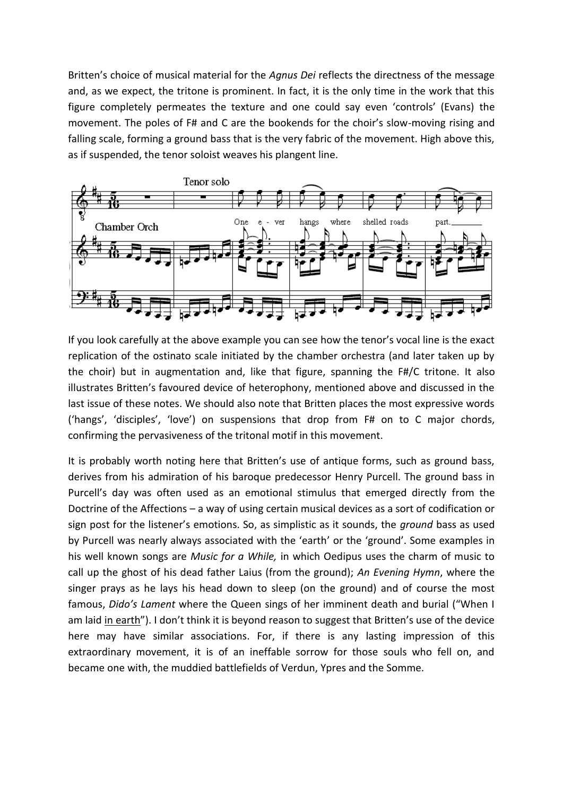Britten's choice of musical material for the *Agnus Dei* reflects the directness of the message and, as we expect, the tritone is prominent. In fact, it is the only time in the work that this figure completely permeates the texture and one could say even 'controls' (Evans) the movement. The poles of F# and C are the bookends for the choir's slow-moving rising and falling scale, forming a ground bass that is the very fabric of the movement. High above this, as if suspended, the tenor soloist weaves his plangent line.



If you look carefully at the above example you can see how the tenor's vocal line is the exact replication of the ostinato scale initiated by the chamber orchestra (and later taken up by the choir) but in augmentation and, like that figure, spanning the F#/C tritone. It also illustrates Britten's favoured device of heterophony, mentioned above and discussed in the last issue of these notes. We should also note that Britten places the most expressive words ('hangs', 'disciples', 'love') on suspensions that drop from F# on to C major chords, confirming the pervasiveness of the tritonal motif in this movement.

It is probably worth noting here that Britten's use of antique forms, such as ground bass, derives from his admiration of his baroque predecessor Henry Purcell. The ground bass in Purcell's day was often used as an emotional stimulus that emerged directly from the Doctrine of the Affections – a way of using certain musical devices as a sort of codification or sign post for the listener's emotions. So, as simplistic as it sounds, the *ground* bass as used by Purcell was nearly always associated with the 'earth' or the 'ground'. Some examples in his well known songs are *Music for a While,* in which Oedipus uses the charm of music to call up the ghost of his dead father Laius (from the ground); *An Evening Hymn*, where the singer prays as he lays his head down to sleep (on the ground) and of course the most famous, *Dido's Lament* where the Queen sings of her imminent death and burial ("When I am laid in earth"). I don't think it is beyond reason to suggest that Britten's use of the device here may have similar associations. For, if there is any lasting impression of this extraordinary movement, it is of an ineffable sorrow for those souls who fell on, and became one with, the muddied battlefields of Verdun, Ypres and the Somme.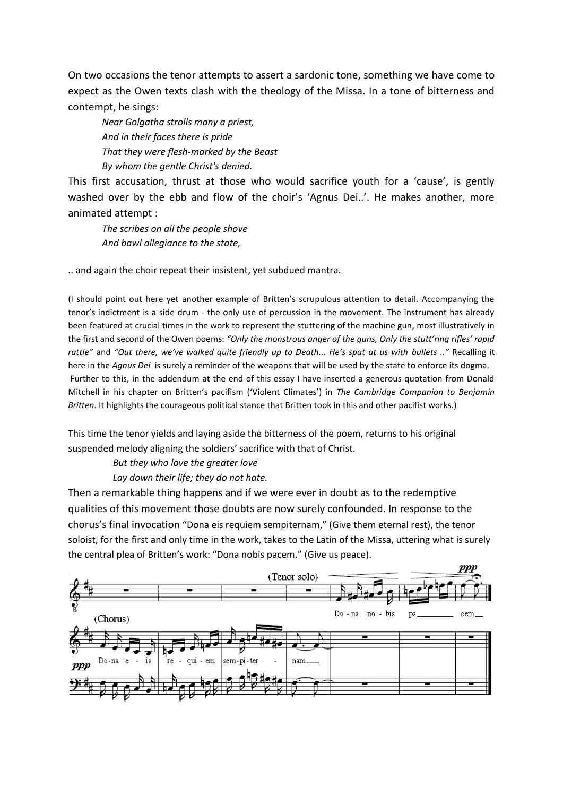On two occasions the tenor attempts to assert a sardonic tone, something we have come to expect as the Owen texts clash with the theology of the Missa. In a tone of bitterness and contempt, he sings:

*Near Golgatha strolls many a priest, And in their faces there is pride That they were flesh-marked by the Beast By whom the gentle Christ's denied.*

This first accusation, thrust at those who would sacrifice youth for a 'cause', is gently washed over by the ebb and flow of the choir's 'Agnus Dei..'. He makes another, more animated attempt :

*The scribes on all the people shove And bawl allegiance to the state,*

.. and again the choir repeat their insistent, yet subdued mantra.

(I should point out here yet another example of Britten's scrupulous attention to detail. Accompanying the tenor's indictment is a side drum - the only use of percussion in the movement. The instrument has already been featured at crucial times in the work to represent the stuttering of the machine gun, most illustratively in the first and second of the Owen poems: *"Only the monstrous anger of the guns, Only the stutt'ring rifles' rapid rattle"* and *"Out there, we've walked quite friendly up to Death... He's spat at us with bullets .."* Recalling it here in the *Agnus Dei* is surely a reminder of the weapons that will be used by the state to enforce its dogma. Further to this, in the addendum at the end of this essay I have inserted a generous quotation from Donald Mitchell in his chapter on Britten's pacifism ('Violent Climates') in *The Cambridge Companion to Benjamin Britten*. It highlights the courageous political stance that Britten took in this and other pacifist works.)

This time the tenor yields and laying aside the bitterness of the poem, returns to his original suspended melody aligning the soldiers' sacrifice with that of Christ.

 *But they who love the greater love*

 *Lay down their life; they do not hate.*

Then a remarkable thing happens and if we were ever in doubt as to the redemptive qualities of this movement those doubts are now surely confounded. In response to the chorus's final invocation "Dona eis requiem sempiternam," (Give them eternal rest), the tenor soloist, for the first and only time in the work, takes to the Latin of the Missa, uttering what is surely the central plea of Britten's work: "Dona nobis pacem." (Give us peace).